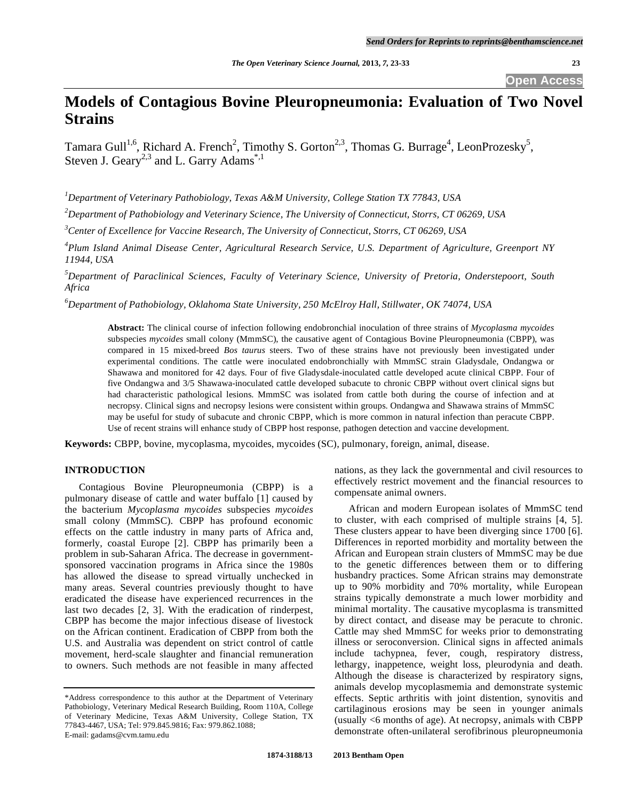**Open Access** 

# **Models of Contagious Bovine Pleuropneumonia: Evaluation of Two Novel Strains**

Tamara Gull<sup>1,6</sup>, Richard A. French<sup>2</sup>, Timothy S. Gorton<sup>2,3</sup>, Thomas G. Burrage<sup>4</sup>, LeonProzesky<sup>5</sup>, Steven J. Geary<sup>2,3</sup> and L. Garry Adams<sup>\*,1</sup>

*1 Department of Veterinary Pathobiology, Texas A&M University, College Station TX 77843, USA* 

*2 Department of Pathobiology and Veterinary Science, The University of Connecticut, Storrs, CT 06269, USA* 

*3 Center of Excellence for Vaccine Research, The University of Connecticut, Storrs, CT 06269, USA* 

*4 Plum Island Animal Disease Center, Agricultural Research Service, U.S. Department of Agriculture, Greenport NY 11944, USA* 

*5 Department of Paraclinical Sciences, Faculty of Veterinary Science, University of Pretoria, Onderstepoort, South Africa* 

*6 Department of Pathobiology, Oklahoma State University, 250 McElroy Hall, Stillwater, OK 74074, USA* 

**Abstract:** The clinical course of infection following endobronchial inoculation of three strains of *Mycoplasma mycoides*  subspecies *mycoides* small colony (MmmSC), the causative agent of Contagious Bovine Pleuropneumonia (CBPP), was compared in 15 mixed-breed *Bos taurus* steers. Two of these strains have not previously been investigated under experimental conditions. The cattle were inoculated endobronchially with MmmSC strain Gladysdale, Ondangwa or Shawawa and monitored for 42 days. Four of five Gladysdale-inoculated cattle developed acute clinical CBPP. Four of five Ondangwa and 3/5 Shawawa-inoculated cattle developed subacute to chronic CBPP without overt clinical signs but had characteristic pathological lesions. MmmSC was isolated from cattle both during the course of infection and at necropsy. Clinical signs and necropsy lesions were consistent within groups. Ondangwa and Shawawa strains of MmmSC may be useful for study of subacute and chronic CBPP, which is more common in natural infection than peracute CBPP. Use of recent strains will enhance study of CBPP host response, pathogen detection and vaccine development.

**Keywords:** CBPP, bovine, mycoplasma, mycoides, mycoides (SC), pulmonary, foreign, animal, disease.

## **INTRODUCTION**

 Contagious Bovine Pleuropneumonia (CBPP) is a pulmonary disease of cattle and water buffalo [1] caused by the bacterium *Mycoplasma mycoides* subspecies *mycoides* small colony (MmmSC). CBPP has profound economic effects on the cattle industry in many parts of Africa and, formerly, coastal Europe [2]. CBPP has primarily been a problem in sub-Saharan Africa. The decrease in governmentsponsored vaccination programs in Africa since the 1980s has allowed the disease to spread virtually unchecked in many areas. Several countries previously thought to have eradicated the disease have experienced recurrences in the last two decades [2, 3]. With the eradication of rinderpest, CBPP has become the major infectious disease of livestock on the African continent. Eradication of CBPP from both the U.S. and Australia was dependent on strict control of cattle movement, herd-scale slaughter and financial remuneration to owners. Such methods are not feasible in many affected

nations, as they lack the governmental and civil resources to effectively restrict movement and the financial resources to compensate animal owners.

 African and modern European isolates of MmmSC tend to cluster, with each comprised of multiple strains [4, 5]. These clusters appear to have been diverging since 1700 [6]. Differences in reported morbidity and mortality between the African and European strain clusters of MmmSC may be due to the genetic differences between them or to differing husbandry practices. Some African strains may demonstrate up to 90% morbidity and 70% mortality, while European strains typically demonstrate a much lower morbidity and minimal mortality. The causative mycoplasma is transmitted by direct contact, and disease may be peracute to chronic. Cattle may shed MmmSC for weeks prior to demonstrating illness or seroconversion. Clinical signs in affected animals include tachypnea, fever, cough, respiratory distress, lethargy, inappetence, weight loss, pleurodynia and death. Although the disease is characterized by respiratory signs, animals develop mycoplasmemia and demonstrate systemic effects. Septic arthritis with joint distention, synovitis and cartilaginous erosions may be seen in younger animals (usually <6 months of age). At necropsy, animals with CBPP demonstrate often-unilateral serofibrinous pleuropneumonia

<sup>\*</sup>Address correspondence to this author at the Department of Veterinary Pathobiology, Veterinary Medical Research Building, Room 110A, College of Veterinary Medicine, Texas A&M University, College Station, TX 77843-4467, USA; Tel: 979.845.9816; Fax: 979.862.1088; E-mail: gadams@cvm.tamu.edu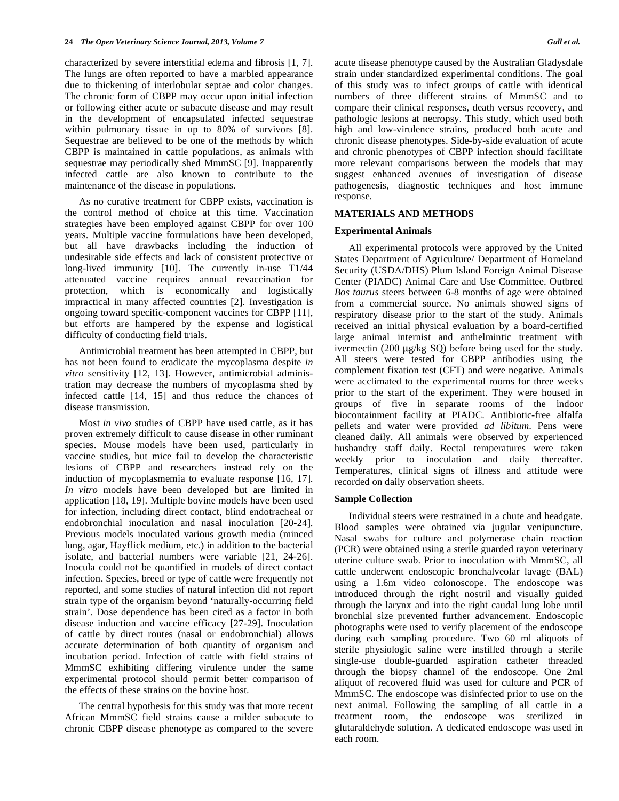characterized by severe interstitial edema and fibrosis [1, 7]. The lungs are often reported to have a marbled appearance due to thickening of interlobular septae and color changes. The chronic form of CBPP may occur upon initial infection or following either acute or subacute disease and may result in the development of encapsulated infected sequestrae within pulmonary tissue in up to 80% of survivors [8]. Sequestrae are believed to be one of the methods by which CBPP is maintained in cattle populations, as animals with sequestrae may periodically shed MmmSC [9]. Inapparently infected cattle are also known to contribute to the maintenance of the disease in populations.

 As no curative treatment for CBPP exists, vaccination is the control method of choice at this time. Vaccination strategies have been employed against CBPP for over 100 years. Multiple vaccine formulations have been developed, but all have drawbacks including the induction of undesirable side effects and lack of consistent protective or long-lived immunity [10]. The currently in-use T1/44 attenuated vaccine requires annual revaccination for protection, which is economically and logistically impractical in many affected countries [2]. Investigation is ongoing toward specific-component vaccines for CBPP [11], but efforts are hampered by the expense and logistical difficulty of conducting field trials.

 Antimicrobial treatment has been attempted in CBPP, but has not been found to eradicate the mycoplasma despite *in vitro* sensitivity [12, 13]. However, antimicrobial administration may decrease the numbers of mycoplasma shed by infected cattle [14, 15] and thus reduce the chances of disease transmission.

 Most *in vivo* studies of CBPP have used cattle, as it has proven extremely difficult to cause disease in other ruminant species. Mouse models have been used, particularly in vaccine studies, but mice fail to develop the characteristic lesions of CBPP and researchers instead rely on the induction of mycoplasmemia to evaluate response [16, 17]. *In vitro* models have been developed but are limited in application [18, 19]. Multiple bovine models have been used for infection, including direct contact, blind endotracheal or endobronchial inoculation and nasal inoculation [20-24]. Previous models inoculated various growth media (minced lung, agar, Hayflick medium, etc.) in addition to the bacterial isolate, and bacterial numbers were variable [21, 24-26]. Inocula could not be quantified in models of direct contact infection. Species, breed or type of cattle were frequently not reported, and some studies of natural infection did not report strain type of the organism beyond 'naturally-occurring field strain'. Dose dependence has been cited as a factor in both disease induction and vaccine efficacy [27-29]. Inoculation of cattle by direct routes (nasal or endobronchial) allows accurate determination of both quantity of organism and incubation period. Infection of cattle with field strains of MmmSC exhibiting differing virulence under the same experimental protocol should permit better comparison of the effects of these strains on the bovine host.

 The central hypothesis for this study was that more recent African MmmSC field strains cause a milder subacute to chronic CBPP disease phenotype as compared to the severe

acute disease phenotype caused by the Australian Gladysdale strain under standardized experimental conditions. The goal of this study was to infect groups of cattle with identical numbers of three different strains of MmmSC and to compare their clinical responses, death versus recovery, and pathologic lesions at necropsy. This study, which used both high and low-virulence strains, produced both acute and chronic disease phenotypes. Side-by-side evaluation of acute and chronic phenotypes of CBPP infection should facilitate more relevant comparisons between the models that may suggest enhanced avenues of investigation of disease pathogenesis, diagnostic techniques and host immune response.

# **MATERIALS AND METHODS**

## **Experimental Animals**

 All experimental protocols were approved by the United States Department of Agriculture/ Department of Homeland Security (USDA/DHS) Plum Island Foreign Animal Disease Center (PIADC) Animal Care and Use Committee. Outbred *Bos taurus* steers between 6-8 months of age were obtained from a commercial source. No animals showed signs of respiratory disease prior to the start of the study. Animals received an initial physical evaluation by a board-certified large animal internist and anthelmintic treatment with ivermectin (200 μg/kg SQ) before being used for the study. All steers were tested for CBPP antibodies using the complement fixation test (CFT) and were negative. Animals were acclimated to the experimental rooms for three weeks prior to the start of the experiment. They were housed in groups of five in separate rooms of the indoor biocontainment facility at PIADC. Antibiotic-free alfalfa pellets and water were provided *ad libitum*. Pens were cleaned daily. All animals were observed by experienced husbandry staff daily. Rectal temperatures were taken weekly prior to inoculation and daily thereafter. Temperatures, clinical signs of illness and attitude were recorded on daily observation sheets.

# **Sample Collection**

 Individual steers were restrained in a chute and headgate. Blood samples were obtained via jugular venipuncture. Nasal swabs for culture and polymerase chain reaction (PCR) were obtained using a sterile guarded rayon veterinary uterine culture swab. Prior to inoculation with MmmSC, all cattle underwent endoscopic bronchalveolar lavage (BAL) using a 1.6m video colonoscope. The endoscope was introduced through the right nostril and visually guided through the larynx and into the right caudal lung lobe until bronchial size prevented further advancement. Endoscopic photographs were used to verify placement of the endoscope during each sampling procedure. Two 60 ml aliquots of sterile physiologic saline were instilled through a sterile single-use double-guarded aspiration catheter threaded through the biopsy channel of the endoscope. One 2ml aliquot of recovered fluid was used for culture and PCR of MmmSC. The endoscope was disinfected prior to use on the next animal. Following the sampling of all cattle in a treatment room, the endoscope was sterilized in glutaraldehyde solution. A dedicated endoscope was used in each room.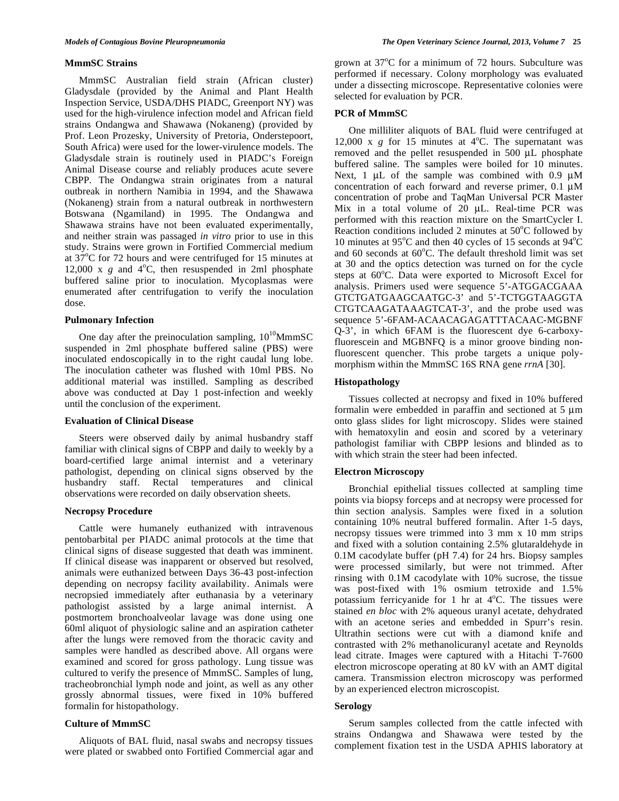#### **MmmSC Strains**

 MmmSC Australian field strain (African cluster) Gladysdale (provided by the Animal and Plant Health Inspection Service, USDA/DHS PIADC, Greenport NY) was used for the high-virulence infection model and African field strains Ondangwa and Shawawa (Nokaneng) (provided by Prof. Leon Prozesky, University of Pretoria, Onderstepoort, South Africa) were used for the lower-virulence models. The Gladysdale strain is routinely used in PIADC's Foreign Animal Disease course and reliably produces acute severe CBPP. The Ondangwa strain originates from a natural outbreak in northern Namibia in 1994, and the Shawawa (Nokaneng) strain from a natural outbreak in northwestern Botswana (Ngamiland) in 1995. The Ondangwa and Shawawa strains have not been evaluated experimentally, and neither strain was passaged *in vitro* prior to use in this study. Strains were grown in Fortified Commercial medium at  $37^{\circ}$ C for 72 hours and were centrifuged for 15 minutes at 12,000 x  $g$  and  $4^{\circ}$ C, then resuspended in 2ml phosphate buffered saline prior to inoculation. Mycoplasmas were enumerated after centrifugation to verify the inoculation dose.

## **Pulmonary Infection**

One day after the preinoculation sampling,  $10^{10}$ MmmSC suspended in 2ml phosphate buffered saline (PBS) were inoculated endoscopically in to the right caudal lung lobe. The inoculation catheter was flushed with 10ml PBS. No additional material was instilled. Sampling as described above was conducted at Day 1 post-infection and weekly until the conclusion of the experiment.

#### **Evaluation of Clinical Disease**

 Steers were observed daily by animal husbandry staff familiar with clinical signs of CBPP and daily to weekly by a board-certified large animal internist and a veterinary pathologist, depending on clinical signs observed by the husbandry staff. Rectal temperatures and clinical observations were recorded on daily observation sheets.

## **Necropsy Procedure**

 Cattle were humanely euthanized with intravenous pentobarbital per PIADC animal protocols at the time that clinical signs of disease suggested that death was imminent. If clinical disease was inapparent or observed but resolved, animals were euthanized between Days 36-43 post-infection depending on necropsy facility availability. Animals were necropsied immediately after euthanasia by a veterinary pathologist assisted by a large animal internist. A postmortem bronchoalveolar lavage was done using one 60ml aliquot of physiologic saline and an aspiration catheter after the lungs were removed from the thoracic cavity and samples were handled as described above. All organs were examined and scored for gross pathology. Lung tissue was cultured to verify the presence of MmmSC. Samples of lung, tracheobronchial lymph node and joint, as well as any other grossly abnormal tissues, were fixed in 10% buffered formalin for histopathology.

## **Culture of MmmSC**

 Aliquots of BAL fluid, nasal swabs and necropsy tissues were plated or swabbed onto Fortified Commercial agar and

grown at  $37^{\circ}$ C for a minimum of 72 hours. Subculture was performed if necessary. Colony morphology was evaluated under a dissecting microscope. Representative colonies were selected for evaluation by PCR.

#### **PCR of MmmSC**

 One milliliter aliquots of BAL fluid were centrifuged at 12,000 x  $g$  for 15 minutes at  $4^{\circ}$ C. The supernatant was removed and the pellet resuspended in 500 μL phosphate buffered saline. The samples were boiled for 10 minutes. Next, 1 μL of the sample was combined with 0.9 μM concentration of each forward and reverse primer, 0.1 μM concentration of probe and TaqMan Universal PCR Master Mix in a total volume of 20 μL. Real-time PCR was performed with this reaction mixture on the SmartCycler I. Reaction conditions included 2 minutes at  $50^{\circ}$ C followed by 10 minutes at 95 $\rm ^{o}C$  and then 40 cycles of 15 seconds at 94 $\rm ^{o}C$ and 60 seconds at 60°C. The default threshold limit was set at 30 and the optics detection was turned on for the cycle steps at 60°C. Data were exported to Microsoft Excel for analysis. Primers used were sequence 5'-ATGGACGAAA GTCTGATGAAGCAATGC-3' and 5'-TCTGGTAAGGTA CTGTCAAGATAAAGTCAT-3', and the probe used was sequence 5'-6FAM-ACAACAGAGATTTACAAC-MGBNF Q-3', in which 6FAM is the fluorescent dye 6-carboxyfluorescein and MGBNFQ is a minor groove binding nonfluorescent quencher. This probe targets a unique polymorphism within the MmmSC 16S RNA gene *rrnA* [30].

# **Histopathology**

 Tissues collected at necropsy and fixed in 10% buffered formalin were embedded in paraffin and sectioned at 5 μm onto glass slides for light microscopy. Slides were stained with hematoxylin and eosin and scored by a veterinary pathologist familiar with CBPP lesions and blinded as to with which strain the steer had been infected.

# **Electron Microscopy**

 Bronchial epithelial tissues collected at sampling time points via biopsy forceps and at necropsy were processed for thin section analysis. Samples were fixed in a solution containing 10% neutral buffered formalin. After 1-5 days, necropsy tissues were trimmed into 3 mm x 10 mm strips and fixed with a solution containing 2.5% glutaraldehyde in 0.1M cacodylate buffer (pH 7.4) for 24 hrs. Biopsy samples were processed similarly, but were not trimmed. After rinsing with 0.1M cacodylate with 10% sucrose, the tissue was post-fixed with 1% osmium tetroxide and 1.5% potassium ferricyanide for 1 hr at  $4^{\circ}$ C. The tissues were stained *en bloc* with 2% aqueous uranyl acetate, dehydrated with an acetone series and embedded in Spurr's resin. Ultrathin sections were cut with a diamond knife and contrasted with 2% methanolicuranyl acetate and Reynolds lead citrate. Images were captured with a Hitachi T-7600 electron microscope operating at 80 kV with an AMT digital camera. Transmission electron microscopy was performed by an experienced electron microscopist.

## **Serology**

 Serum samples collected from the cattle infected with strains Ondangwa and Shawawa were tested by the complement fixation test in the USDA APHIS laboratory at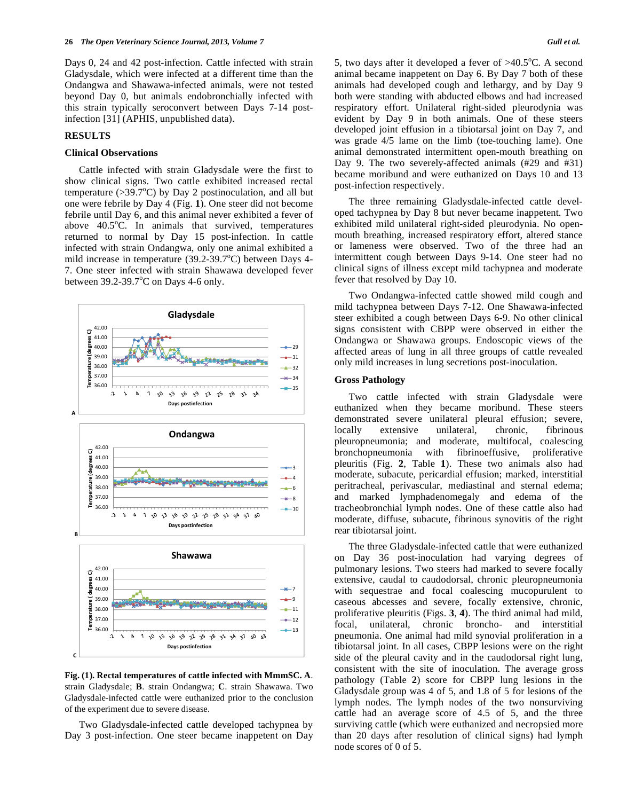Days 0, 24 and 42 post-infection. Cattle infected with strain Gladysdale, which were infected at a different time than the Ondangwa and Shawawa-infected animals, were not tested beyond Day 0, but animals endobronchially infected with this strain typically seroconvert between Days 7-14 postinfection [31] (APHIS, unpublished data).

# **RESULTS**

# **Clinical Observations**

 Cattle infected with strain Gladysdale were the first to show clinical signs. Two cattle exhibited increased rectal temperature ( $>39.7^{\circ}$ C) by Day 2 postinoculation, and all but one were febrile by Day 4 (Fig. **1**). One steer did not become febrile until Day 6, and this animal never exhibited a fever of above  $40.5^{\circ}$ C. In animals that survived, temperatures returned to normal by Day 15 post-infection. In cattle infected with strain Ondangwa, only one animal exhibited a mild increase in temperature  $(39.2-39.7^{\circ}C)$  between Days 4-7. One steer infected with strain Shawawa developed fever between  $39.2 - 39.7^{\circ}$ C on Days 4-6 only.



**Fig. (1). Rectal temperatures of cattle infected with MmmSC. A**. strain Gladysdale; **B**. strain Ondangwa; **C**. strain Shawawa. Two Gladysdale-infected cattle were euthanized prior to the conclusion of the experiment due to severe disease.

 Two Gladysdale-infected cattle developed tachypnea by Day 3 post-infection. One steer became inappetent on Day

5, two days after it developed a fever of  $>40.5^{\circ}$ C. A second animal became inappetent on Day 6. By Day 7 both of these animals had developed cough and lethargy, and by Day 9 both were standing with abducted elbows and had increased respiratory effort. Unilateral right-sided pleurodynia was evident by Day 9 in both animals. One of these steers developed joint effusion in a tibiotarsal joint on Day 7, and was grade 4/5 lame on the limb (toe-touching lame). One animal demonstrated intermittent open-mouth breathing on Day 9. The two severely-affected animals (#29 and #31) became moribund and were euthanized on Days 10 and 13 post-infection respectively.

 The three remaining Gladysdale-infected cattle developed tachypnea by Day 8 but never became inappetent. Two exhibited mild unilateral right-sided pleurodynia. No openmouth breathing, increased respiratory effort, altered stance or lameness were observed. Two of the three had an intermittent cough between Days 9-14. One steer had no clinical signs of illness except mild tachypnea and moderate fever that resolved by Day 10.

 Two Ondangwa-infected cattle showed mild cough and mild tachypnea between Days 7-12. One Shawawa-infected steer exhibited a cough between Days 6-9. No other clinical signs consistent with CBPP were observed in either the Ondangwa or Shawawa groups. Endoscopic views of the affected areas of lung in all three groups of cattle revealed only mild increases in lung secretions post-inoculation.

#### **Gross Pathology**

 Two cattle infected with strain Gladysdale were euthanized when they became moribund. These steers demonstrated severe unilateral pleural effusion; severe, locally extensive unilateral, chronic, fibrinous pleuropneumonia; and moderate, multifocal, coalescing bronchopneumonia with fibrinoeffusive, proliferative pleuritis (Fig. **2**, Table **1**). These two animals also had moderate, subacute, pericardial effusion; marked, interstitial peritracheal, perivascular, mediastinal and sternal edema; and marked lymphadenomegaly and edema of the tracheobronchial lymph nodes. One of these cattle also had moderate, diffuse, subacute, fibrinous synovitis of the right rear tibiotarsal joint.

 The three Gladysdale-infected cattle that were euthanized on Day 36 post-inoculation had varying degrees of pulmonary lesions. Two steers had marked to severe focally extensive, caudal to caudodorsal, chronic pleuropneumonia with sequestrae and focal coalescing mucopurulent to caseous abcesses and severe, focally extensive, chronic, proliferative pleuritis (Figs. **3**, **4**). The third animal had mild, focal, unilateral, chronic broncho- and interstitial pneumonia. One animal had mild synovial proliferation in a tibiotarsal joint. In all cases, CBPP lesions were on the right side of the pleural cavity and in the caudodorsal right lung, consistent with the site of inoculation. The average gross pathology (Table **2**) score for CBPP lung lesions in the Gladysdale group was 4 of 5, and 1.8 of 5 for lesions of the lymph nodes. The lymph nodes of the two nonsurviving cattle had an average score of 4.5 of 5, and the three surviving cattle (which were euthanized and necropsied more than 20 days after resolution of clinical signs) had lymph node scores of 0 of 5.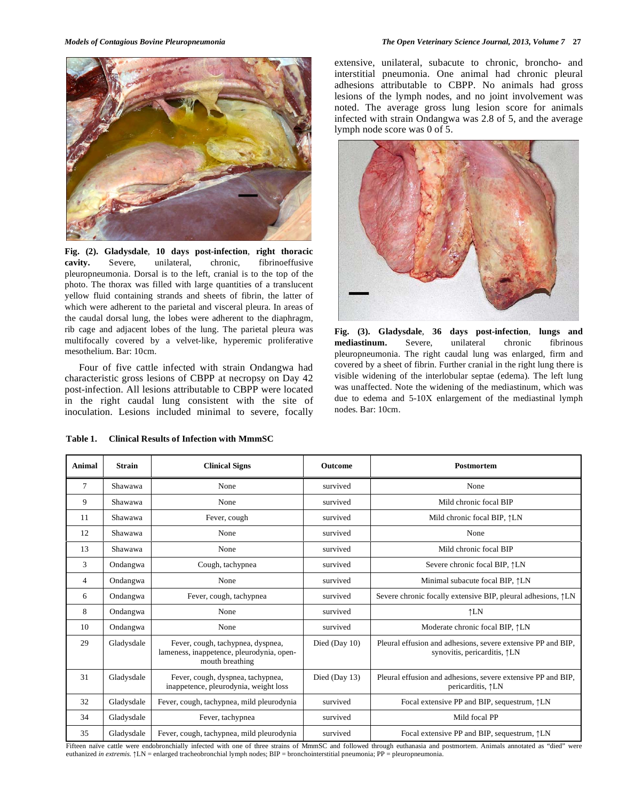

**Fig. (2). Gladysdale**, **10 days post-infection**, **right thoracic cavity.** Severe, unilateral, chronic, fibrinoeffusive pleuropneumonia. Dorsal is to the left, cranial is to the top of the photo. The thorax was filled with large quantities of a translucent yellow fluid containing strands and sheets of fibrin, the latter of which were adherent to the parietal and visceral pleura. In areas of the caudal dorsal lung, the lobes were adherent to the diaphragm, rib cage and adjacent lobes of the lung. The parietal pleura was multifocally covered by a velvet-like, hyperemic proliferative mesothelium. Bar: 10cm.

 Four of five cattle infected with strain Ondangwa had characteristic gross lesions of CBPP at necropsy on Day 42 post-infection. All lesions attributable to CBPP were located in the right caudal lung consistent with the site of inoculation. Lesions included minimal to severe, focally

**Table 1. Clinical Results of Infection with MmmSC** 

extensive, unilateral, subacute to chronic, broncho- and interstitial pneumonia. One animal had chronic pleural adhesions attributable to CBPP. No animals had gross lesions of the lymph nodes, and no joint involvement was noted. The average gross lung lesion score for animals infected with strain Ondangwa was 2.8 of 5, and the average lymph node score was 0 of 5.



**Fig. (3). Gladysdale**, **36 days post-infection**, **lungs and mediastinum.** Severe, unilateral chronic fibrinous pleuropneumonia. The right caudal lung was enlarged, firm and covered by a sheet of fibrin. Further cranial in the right lung there is visible widening of the interlobular septae (edema). The left lung was unaffected. Note the widening of the mediastinum, which was due to edema and 5-10X enlargement of the mediastinal lymph nodes. Bar: 10cm.

| Animal         | <b>Strain</b> | <b>Clinical Signs</b>                                                                             | Outcome       | Postmortem                                                                                             |
|----------------|---------------|---------------------------------------------------------------------------------------------------|---------------|--------------------------------------------------------------------------------------------------------|
| $\tau$         | Shawawa       | None                                                                                              | survived      | None                                                                                                   |
| 9              | Shawawa       | None                                                                                              | survived      | Mild chronic focal BIP                                                                                 |
| 11             | Shawawa       | Fever, cough                                                                                      | survived      | Mild chronic focal BIP, $\uparrow$ LN                                                                  |
| 12             | Shawawa       | None                                                                                              | survived      | None                                                                                                   |
| 13             | Shawawa       | None                                                                                              | survived      | Mild chronic focal BIP                                                                                 |
| 3              | Ondangwa      | Cough, tachypnea                                                                                  | survived      | Severe chronic focal BIP, $\uparrow$ LN                                                                |
| $\overline{4}$ | Ondangwa      | None                                                                                              | survived      | Minimal subacute focal BIP, $\uparrow$ LN                                                              |
| 6              | Ondangwa      | Fever, cough, tachypnea                                                                           | survived      | Severe chronic focally extensive BIP, pleural adhesions, $\uparrow$ LN                                 |
| 8              | Ondangwa      | None                                                                                              | survived      | $\uparrow$ LN                                                                                          |
| 10             | Ondangwa      | None                                                                                              | survived      | Moderate chronic focal BIP, $\uparrow$ LN                                                              |
| 29             | Gladysdale    | Fever, cough, tachypnea, dyspnea,<br>lameness, inappetence, pleurodynia, open-<br>mouth breathing | Died (Day 10) | Pleural effusion and adhesions, severe extensive PP and BIP,<br>synovitis, pericarditis, $\uparrow$ LN |
| 31             | Gladysdale    | Fever, cough, dyspnea, tachypnea,<br>inappetence, pleurodynia, weight loss                        | Died (Day 13) | Pleural effusion and adhesions, severe extensive PP and BIP,<br>pericarditis, $\uparrow$ LN            |
| 32             | Gladysdale    | Fever, cough, tachypnea, mild pleurodynia                                                         | survived      | Focal extensive PP and BIP, sequestrum, $\uparrow$ LN                                                  |
| 34             | Gladysdale    | Fever, tachypnea                                                                                  | survived      | Mild focal PP                                                                                          |
| 35             | Gladysdale    | Fever, cough, tachypnea, mild pleurodynia                                                         | survived      | Focal extensive PP and BIP, sequestrum, $\uparrow$ LN                                                  |

Fifteen naïve cattle were endobronchially infected with one of three strains of MmmSC and followed through euthanasia and postmortem. Animals annotated as "died" were euthanized *in extremis*.  $\uparrow$ LN = enlarged tracheobronchial lymph nodes; BIP = bronchointerstitial pneumonia; PP = pleuropneumonia.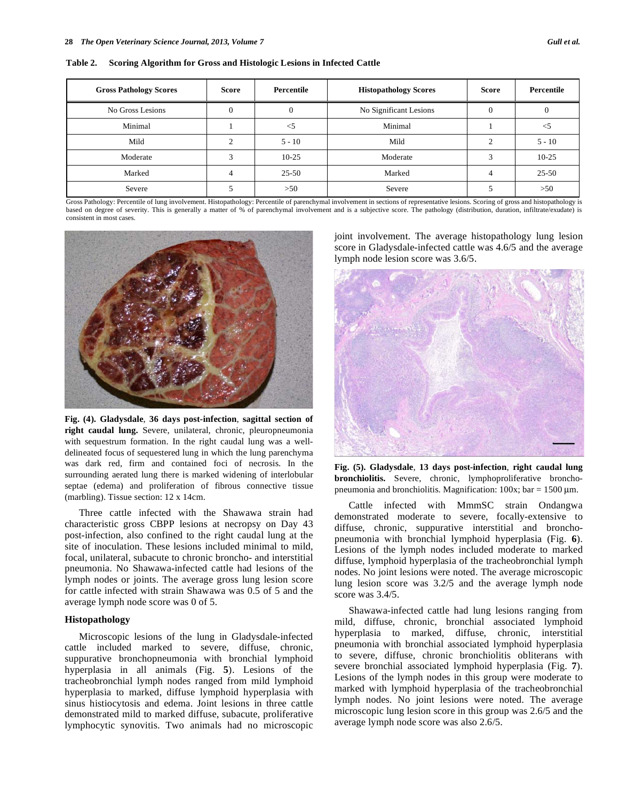| Table 2. |  | <b>Scoring Algorithm for Gross and Histologic Lesions in Infected Cattle</b> |
|----------|--|------------------------------------------------------------------------------|
|          |  |                                                                              |

| <b>Gross Pathology Scores</b> | <b>Score</b> | Percentile | <b>Histopathology Scores</b> | <b>Score</b> | Percentile |
|-------------------------------|--------------|------------|------------------------------|--------------|------------|
| No Gross Lesions              |              |            | No Significant Lesions       |              |            |
| Minimal                       |              | $<$ 5      | Minimal                      |              |            |
| Mild                          |              | $5 - 10$   | Mild                         |              | $5 - 10$   |
| Moderate                      |              | $10-25$    | Moderate                     |              | $10-25$    |
| Marked                        |              | $25 - 50$  | Marked                       | 4            | $25 - 50$  |
| Severe                        |              | >50        | Severe                       |              | >50        |

Gross Pathology: Percentile of lung involvement. Histopathology: Percentile of parenchymal involvement in sections of representative lesions. Scoring of gross and histopathology is based on degree of severity. This is generally a matter of % of parenchymal involvement and is a subjective score. The pathology (distribution, duration, infiltrate/exudate) is consistent in most cases.



**Fig. (4). Gladysdale**, **36 days post-infection**, **sagittal section of right caudal lung.** Severe, unilateral, chronic, pleuropneumonia with sequestrum formation. In the right caudal lung was a welldelineated focus of sequestered lung in which the lung parenchyma was dark red, firm and contained foci of necrosis. In the surrounding aerated lung there is marked widening of interlobular septae (edema) and proliferation of fibrous connective tissue (marbling). Tissue section: 12 x 14cm.

 Three cattle infected with the Shawawa strain had characteristic gross CBPP lesions at necropsy on Day 43 post-infection, also confined to the right caudal lung at the site of inoculation. These lesions included minimal to mild, focal, unilateral, subacute to chronic broncho- and interstitial pneumonia. No Shawawa-infected cattle had lesions of the lymph nodes or joints. The average gross lung lesion score for cattle infected with strain Shawawa was 0.5 of 5 and the average lymph node score was 0 of 5.

#### **Histopathology**

 Microscopic lesions of the lung in Gladysdale-infected cattle included marked to severe, diffuse, chronic, suppurative bronchopneumonia with bronchial lymphoid hyperplasia in all animals (Fig. **5**). Lesions of the tracheobronchial lymph nodes ranged from mild lymphoid hyperplasia to marked, diffuse lymphoid hyperplasia with sinus histiocytosis and edema. Joint lesions in three cattle demonstrated mild to marked diffuse, subacute, proliferative lymphocytic synovitis. Two animals had no microscopic joint involvement. The average histopathology lung lesion score in Gladysdale-infected cattle was 4.6/5 and the average lymph node lesion score was 3.6/5.



**Fig. (5). Gladysdale**, **13 days post-infection**, **right caudal lung bronchiolitis.** Severe, chronic, lymphoproliferative bronchopneumonia and bronchiolitis. Magnification:  $100x$ ; bar =  $1500 \mu$ m.

 Cattle infected with MmmSC strain Ondangwa demonstrated moderate to severe, focally-extensive to diffuse, chronic, suppurative interstitial and bronchopneumonia with bronchial lymphoid hyperplasia (Fig. **6**). Lesions of the lymph nodes included moderate to marked diffuse, lymphoid hyperplasia of the tracheobronchial lymph nodes. No joint lesions were noted. The average microscopic lung lesion score was 3.2/5 and the average lymph node score was 3.4/5.

 Shawawa-infected cattle had lung lesions ranging from mild, diffuse, chronic, bronchial associated lymphoid hyperplasia to marked, diffuse, chronic, interstitial pneumonia with bronchial associated lymphoid hyperplasia to severe, diffuse, chronic bronchiolitis obliterans with severe bronchial associated lymphoid hyperplasia (Fig. **7**). Lesions of the lymph nodes in this group were moderate to marked with lymphoid hyperplasia of the tracheobronchial lymph nodes. No joint lesions were noted. The average microscopic lung lesion score in this group was 2.6/5 and the average lymph node score was also 2.6/5.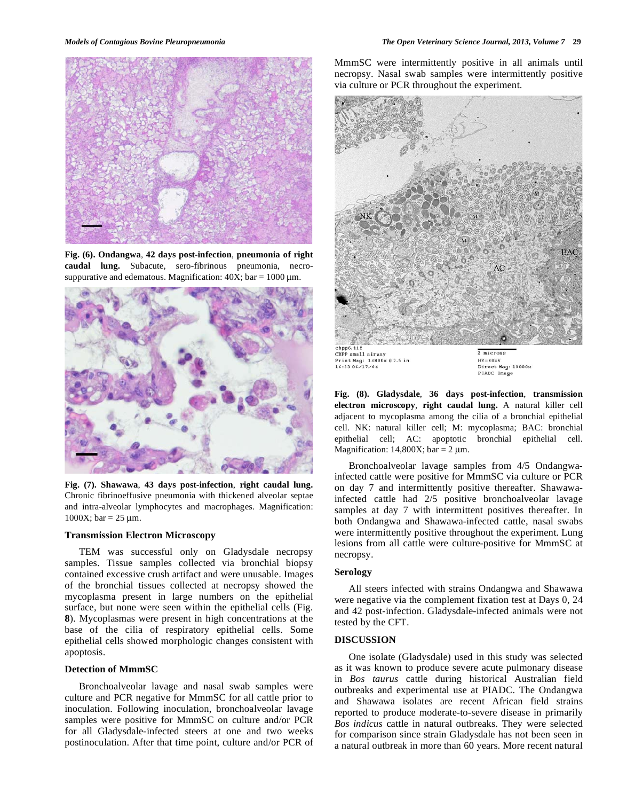

**Fig. (6). Ondangwa**, **42 days post-infection**, **pneumonia of right caudal lung.** Subacute, sero-fibrinous pneumonia, necrosuppurative and edematous. Magnification:  $40X$ ; bar =  $1000 \mu$ m.



**Fig. (7). Shawawa**, **43 days post-infection**, **right caudal lung.**  Chronic fibrinoeffusive pneumonia with thickened alveolar septae and intra-alveolar lymphocytes and macrophages. Magnification: 1000X; bar =  $25 \mu m$ .

#### **Transmission Electron Microscopy**

 TEM was successful only on Gladysdale necropsy samples. Tissue samples collected via bronchial biopsy contained excessive crush artifact and were unusable. Images of the bronchial tissues collected at necropsy showed the mycoplasma present in large numbers on the epithelial surface, but none were seen within the epithelial cells (Fig. **8**). Mycoplasmas were present in high concentrations at the base of the cilia of respiratory epithelial cells. Some epithelial cells showed morphologic changes consistent with apoptosis.

# **Detection of MmmSC**

 Bronchoalveolar lavage and nasal swab samples were culture and PCR negative for MmmSC for all cattle prior to inoculation. Following inoculation, bronchoalveolar lavage samples were positive for MmmSC on culture and/or PCR for all Gladysdale-infected steers at one and two weeks postinoculation. After that time point, culture and/or PCR of MmmSC were intermittently positive in all animals until necropsy. Nasal swab samples were intermittently positive via culture or PCR throughout the experiment.



CBPP small airway<br>Print Mag: 14800x 07.5 in<br>16:33 06/17/04

 $HV = 80kV$ Direct Mag: 10000x PIADC Image

**Fig. (8). Gladysdale**, **36 days post-infection**, **transmission electron microscopy**, **right caudal lung.** A natural killer cell adjacent to mycoplasma among the cilia of a bronchial epithelial cell. NK: natural killer cell; M: mycoplasma; BAC: bronchial epithelial cell; AC: apoptotic bronchial epithelial cell. Magnification: 14,800X; bar =  $2 \mu$ m.

 Bronchoalveolar lavage samples from 4/5 Ondangwainfected cattle were positive for MmmSC via culture or PCR on day 7 and intermittently positive thereafter. Shawawainfected cattle had 2/5 positive bronchoalveolar lavage samples at day 7 with intermittent positives thereafter. In both Ondangwa and Shawawa-infected cattle, nasal swabs were intermittently positive throughout the experiment. Lung lesions from all cattle were culture-positive for MmmSC at necropsy.

# **Serology**

 All steers infected with strains Ondangwa and Shawawa were negative via the complement fixation test at Days 0, 24 and 42 post-infection. Gladysdale-infected animals were not tested by the CFT.

# **DISCUSSION**

 One isolate (Gladysdale) used in this study was selected as it was known to produce severe acute pulmonary disease in *Bos taurus* cattle during historical Australian field outbreaks and experimental use at PIADC. The Ondangwa and Shawawa isolates are recent African field strains reported to produce moderate-to-severe disease in primarily *Bos indicus* cattle in natural outbreaks. They were selected for comparison since strain Gladysdale has not been seen in a natural outbreak in more than 60 years. More recent natural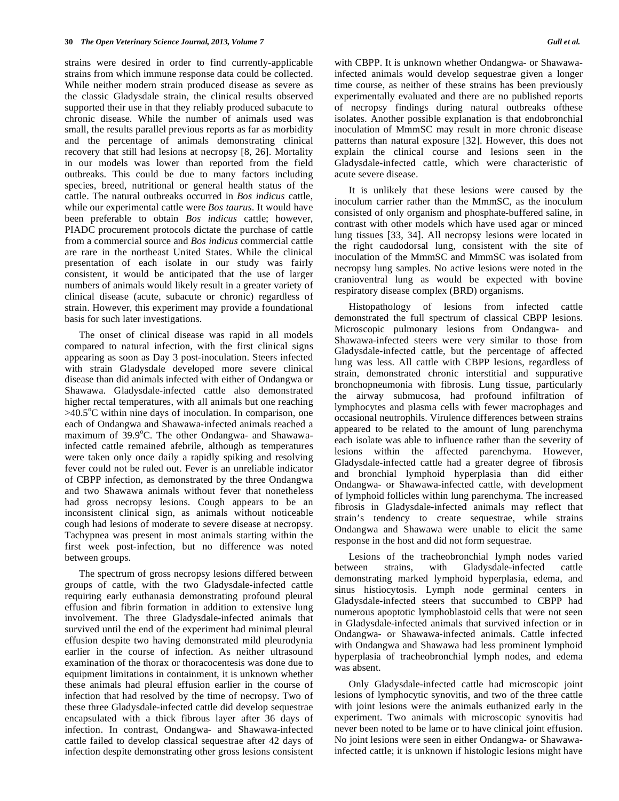strains were desired in order to find currently-applicable strains from which immune response data could be collected. While neither modern strain produced disease as severe as the classic Gladysdale strain, the clinical results observed supported their use in that they reliably produced subacute to chronic disease. While the number of animals used was small, the results parallel previous reports as far as morbidity and the percentage of animals demonstrating clinical recovery that still had lesions at necropsy [8, 26]. Mortality in our models was lower than reported from the field outbreaks. This could be due to many factors including species, breed, nutritional or general health status of the cattle. The natural outbreaks occurred in *Bos indicus* cattle, while our experimental cattle were *Bos taurus*. It would have been preferable to obtain *Bos indicus* cattle; however, PIADC procurement protocols dictate the purchase of cattle from a commercial source and *Bos indicus* commercial cattle are rare in the northeast United States. While the clinical presentation of each isolate in our study was fairly consistent, it would be anticipated that the use of larger numbers of animals would likely result in a greater variety of clinical disease (acute, subacute or chronic) regardless of strain. However, this experiment may provide a foundational basis for such later investigations.

 The onset of clinical disease was rapid in all models compared to natural infection, with the first clinical signs appearing as soon as Day 3 post-inoculation. Steers infected with strain Gladysdale developed more severe clinical disease than did animals infected with either of Ondangwa or Shawawa. Gladysdale-infected cattle also demonstrated higher rectal temperatures, with all animals but one reaching  $>40.5^{\circ}$ C within nine days of inoculation. In comparison, one each of Ondangwa and Shawawa-infected animals reached a maximum of 39.9°C. The other Ondangwa- and Shawawainfected cattle remained afebrile, although as temperatures were taken only once daily a rapidly spiking and resolving fever could not be ruled out. Fever is an unreliable indicator of CBPP infection, as demonstrated by the three Ondangwa and two Shawawa animals without fever that nonetheless had gross necropsy lesions. Cough appears to be an inconsistent clinical sign, as animals without noticeable cough had lesions of moderate to severe disease at necropsy. Tachypnea was present in most animals starting within the first week post-infection, but no difference was noted between groups.

 The spectrum of gross necropsy lesions differed between groups of cattle, with the two Gladysdale-infected cattle requiring early euthanasia demonstrating profound pleural effusion and fibrin formation in addition to extensive lung involvement. The three Gladysdale-infected animals that survived until the end of the experiment had minimal pleural effusion despite two having demonstrated mild pleurodynia earlier in the course of infection. As neither ultrasound examination of the thorax or thoracocentesis was done due to equipment limitations in containment, it is unknown whether these animals had pleural effusion earlier in the course of infection that had resolved by the time of necropsy. Two of these three Gladysdale-infected cattle did develop sequestrae encapsulated with a thick fibrous layer after 36 days of infection. In contrast, Ondangwa- and Shawawa-infected cattle failed to develop classical sequestrae after 42 days of infection despite demonstrating other gross lesions consistent with CBPP. It is unknown whether Ondangwa- or Shawawainfected animals would develop sequestrae given a longer time course, as neither of these strains has been previously experimentally evaluated and there are no published reports of necropsy findings during natural outbreaks ofthese isolates. Another possible explanation is that endobronchial inoculation of MmmSC may result in more chronic disease patterns than natural exposure [32]. However, this does not explain the clinical course and lesions seen in the Gladysdale-infected cattle, which were characteristic of acute severe disease.

 It is unlikely that these lesions were caused by the inoculum carrier rather than the MmmSC, as the inoculum consisted of only organism and phosphate-buffered saline, in contrast with other models which have used agar or minced lung tissues [33, 34]. All necropsy lesions were located in the right caudodorsal lung, consistent with the site of inoculation of the MmmSC and MmmSC was isolated from necropsy lung samples. No active lesions were noted in the cranioventral lung as would be expected with bovine respiratory disease complex (BRD) organisms.

 Histopathology of lesions from infected cattle demonstrated the full spectrum of classical CBPP lesions. Microscopic pulmonary lesions from Ondangwa- and Shawawa-infected steers were very similar to those from Gladysdale-infected cattle, but the percentage of affected lung was less. All cattle with CBPP lesions, regardless of strain, demonstrated chronic interstitial and suppurative bronchopneumonia with fibrosis. Lung tissue, particularly the airway submucosa, had profound infiltration of lymphocytes and plasma cells with fewer macrophages and occasional neutrophils. Virulence differences between strains appeared to be related to the amount of lung parenchyma each isolate was able to influence rather than the severity of lesions within the affected parenchyma. However, Gladysdale-infected cattle had a greater degree of fibrosis and bronchial lymphoid hyperplasia than did either Ondangwa- or Shawawa-infected cattle, with development of lymphoid follicles within lung parenchyma. The increased fibrosis in Gladysdale-infected animals may reflect that strain's tendency to create sequestrae, while strains Ondangwa and Shawawa were unable to elicit the same response in the host and did not form sequestrae.

 Lesions of the tracheobronchial lymph nodes varied between strains, with Gladysdale-infected cattle demonstrating marked lymphoid hyperplasia, edema, and sinus histiocytosis. Lymph node germinal centers in Gladysdale-infected steers that succumbed to CBPP had numerous apoptotic lymphoblastoid cells that were not seen in Gladysdale-infected animals that survived infection or in Ondangwa- or Shawawa-infected animals. Cattle infected with Ondangwa and Shawawa had less prominent lymphoid hyperplasia of tracheobronchial lymph nodes, and edema was absent.

 Only Gladysdale-infected cattle had microscopic joint lesions of lymphocytic synovitis, and two of the three cattle with joint lesions were the animals euthanized early in the experiment. Two animals with microscopic synovitis had never been noted to be lame or to have clinical joint effusion. No joint lesions were seen in either Ondangwa- or Shawawainfected cattle; it is unknown if histologic lesions might have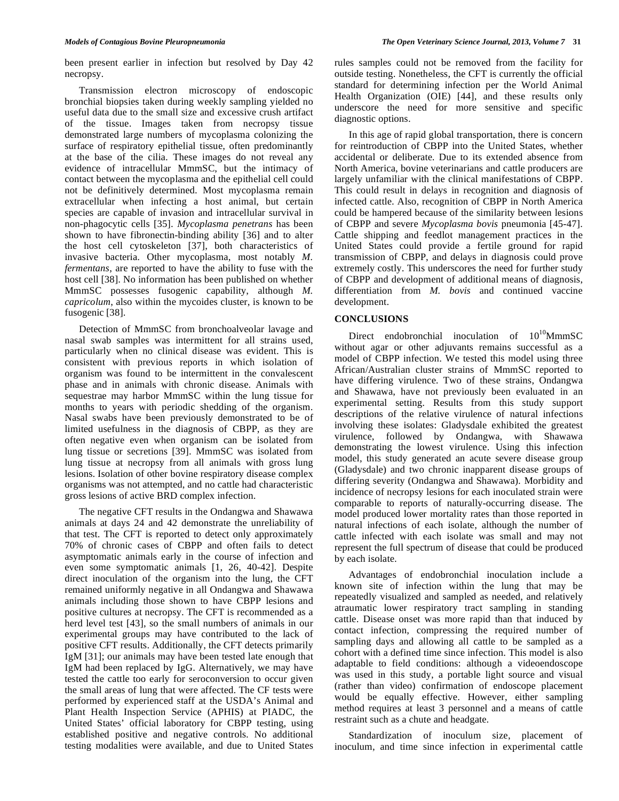been present earlier in infection but resolved by Day 42 necropsy.

 Transmission electron microscopy of endoscopic bronchial biopsies taken during weekly sampling yielded no useful data due to the small size and excessive crush artifact of the tissue. Images taken from necropsy tissue demonstrated large numbers of mycoplasma colonizing the surface of respiratory epithelial tissue, often predominantly at the base of the cilia. These images do not reveal any evidence of intracellular MmmSC, but the intimacy of contact between the mycoplasma and the epithelial cell could not be definitively determined. Most mycoplasma remain extracellular when infecting a host animal, but certain species are capable of invasion and intracellular survival in non-phagocytic cells [35]. *Mycoplasma penetrans* has been shown to have fibronectin-binding ability [36] and to alter the host cell cytoskeleton [37], both characteristics of invasive bacteria. Other mycoplasma, most notably *M. fermentans*, are reported to have the ability to fuse with the host cell [38]. No information has been published on whether MmmSC possesses fusogenic capability, although *M. capricolum*, also within the mycoides cluster, is known to be fusogenic [38].

 Detection of MmmSC from bronchoalveolar lavage and nasal swab samples was intermittent for all strains used, particularly when no clinical disease was evident. This is consistent with previous reports in which isolation of organism was found to be intermittent in the convalescent phase and in animals with chronic disease. Animals with sequestrae may harbor MmmSC within the lung tissue for months to years with periodic shedding of the organism. Nasal swabs have been previously demonstrated to be of limited usefulness in the diagnosis of CBPP, as they are often negative even when organism can be isolated from lung tissue or secretions [39]. MmmSC was isolated from lung tissue at necropsy from all animals with gross lung lesions. Isolation of other bovine respiratory disease complex organisms was not attempted, and no cattle had characteristic gross lesions of active BRD complex infection.

 The negative CFT results in the Ondangwa and Shawawa animals at days 24 and 42 demonstrate the unreliability of that test. The CFT is reported to detect only approximately 70% of chronic cases of CBPP and often fails to detect asymptomatic animals early in the course of infection and even some symptomatic animals [1, 26, 40-42]. Despite direct inoculation of the organism into the lung, the CFT remained uniformly negative in all Ondangwa and Shawawa animals including those shown to have CBPP lesions and positive cultures at necropsy. The CFT is recommended as a herd level test [43], so the small numbers of animals in our experimental groups may have contributed to the lack of positive CFT results. Additionally, the CFT detects primarily IgM [31]; our animals may have been tested late enough that IgM had been replaced by IgG. Alternatively, we may have tested the cattle too early for seroconversion to occur given the small areas of lung that were affected. The CF tests were performed by experienced staff at the USDA's Animal and Plant Health Inspection Service (APHIS) at PIADC, the United States' official laboratory for CBPP testing, using established positive and negative controls. No additional testing modalities were available, and due to United States rules samples could not be removed from the facility for outside testing. Nonetheless, the CFT is currently the official standard for determining infection per the World Animal Health Organization (OIE) [44], and these results only underscore the need for more sensitive and specific diagnostic options.

 In this age of rapid global transportation, there is concern for reintroduction of CBPP into the United States, whether accidental or deliberate. Due to its extended absence from North America, bovine veterinarians and cattle producers are largely unfamiliar with the clinical manifestations of CBPP. This could result in delays in recognition and diagnosis of infected cattle. Also, recognition of CBPP in North America could be hampered because of the similarity between lesions of CBPP and severe *Mycoplasma bovis* pneumonia [45-47]. Cattle shipping and feedlot management practices in the United States could provide a fertile ground for rapid transmission of CBPP, and delays in diagnosis could prove extremely costly. This underscores the need for further study of CBPP and development of additional means of diagnosis, differentiation from *M. bovis* and continued vaccine development.

# **CONCLUSIONS**

Direct endobronchial inoculation of  $10^{10}$ MmmSC without agar or other adjuvants remains successful as a model of CBPP infection. We tested this model using three African/Australian cluster strains of MmmSC reported to have differing virulence. Two of these strains, Ondangwa and Shawawa, have not previously been evaluated in an experimental setting. Results from this study support descriptions of the relative virulence of natural infections involving these isolates: Gladysdale exhibited the greatest virulence, followed by Ondangwa, with Shawawa demonstrating the lowest virulence. Using this infection model, this study generated an acute severe disease group (Gladysdale) and two chronic inapparent disease groups of differing severity (Ondangwa and Shawawa). Morbidity and incidence of necropsy lesions for each inoculated strain were comparable to reports of naturally-occurring disease. The model produced lower mortality rates than those reported in natural infections of each isolate, although the number of cattle infected with each isolate was small and may not represent the full spectrum of disease that could be produced by each isolate.

 Advantages of endobronchial inoculation include a known site of infection within the lung that may be repeatedly visualized and sampled as needed, and relatively atraumatic lower respiratory tract sampling in standing cattle. Disease onset was more rapid than that induced by contact infection, compressing the required number of sampling days and allowing all cattle to be sampled as a cohort with a defined time since infection. This model is also adaptable to field conditions: although a videoendoscope was used in this study, a portable light source and visual (rather than video) confirmation of endoscope placement would be equally effective. However, either sampling method requires at least 3 personnel and a means of cattle restraint such as a chute and headgate.

 Standardization of inoculum size, placement of inoculum, and time since infection in experimental cattle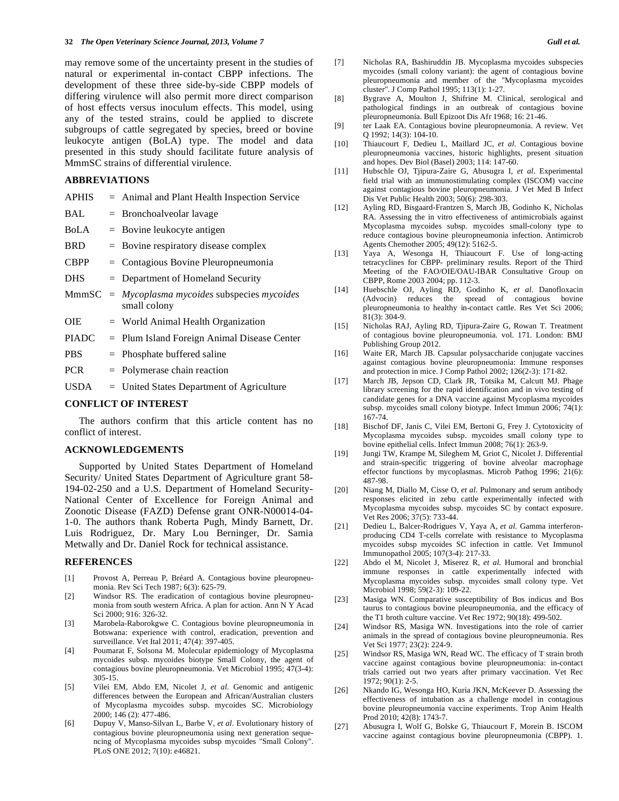may remove some of the uncertainty present in the studies of natural or experimental in-contact CBPP infections. The development of these three side-by-side CBPP models of differing virulence will also permit more direct comparison of host effects versus inoculum effects. This model, using any of the tested strains, could be applied to discrete subgroups of cattle segregated by species, breed or bovine leukocyte antigen (BoLA) type. The model and data presented in this study should facilitate future analysis of MmmSC strains of differential virulence.

# **ABBREVIATIONS**

| BAL          | $=$ Bronchoalveolar lavage                                  |
|--------------|-------------------------------------------------------------|
| <b>BoLA</b>  | $=$ Bovine leukocyte antigen                                |
| <b>BRD</b>   | $=$ Bovine respiratory disease complex                      |
| <b>CBPP</b>  | $=$ Contagious Bovine Pleuropneumonia                       |
| <b>DHS</b>   | $=$ Department of Homeland Security                         |
| MmmSC        | $=$ Mycoplasma mycoides subspecies mycoides<br>small colony |
| <b>OIE</b>   | $=$ World Animal Health Organization                        |
| <b>PIADC</b> | $=$ Plum Island Foreign Animal Disease Center               |
| <b>PBS</b>   | $=$ Phosphate buffered saline                               |
| חרמת         | Delenis cases alesta associación                            |

APHIS = Animal and Plant Health Inspection Service

- $PCR = Polymerase chain reaction$
- USDA = United States Department of Agriculture

# **CONFLICT OF INTEREST**

 The authors confirm that this article content has no conflict of interest.

## **ACKNOWLEDGEMENTS**

 Supported by United States Department of Homeland Security/ United States Department of Agriculture grant 58- 194-02-250 and a U.S. Department of Homeland Security-National Center of Excellence for Foreign Animal and Zoonotic Disease (FAZD) Defense grant ONR-N00014-04- 1-0. The authors thank Roberta Pugh, Mindy Barnett, Dr. Luis Rodriguez, Dr. Mary Lou Berninger, Dr. Samia Metwally and Dr. Daniel Rock for technical assistance.

# **REFERENCES**

- [1] Provost A, Perreau P, Bréard A. Contagious bovine pleuropneumonia. Rev Sci Tech 1987; 6(3): 625-79.
- [2] Windsor RS. The eradication of contagious bovine pleuropneumonia from south western Africa. A plan for action. Ann N Y Acad Sci 2000; 916: 326-32.
- [3] Marobela-Raborokgwe C. Contagious bovine pleuropneumonia in Botswana: experience with control, eradication, prevention and surveillance. Vet Ital 2011; 47(4): 397-405.
- [4] Poumarat F, Solsona M. Molecular epidemiology of Mycoplasma mycoides subsp. mycoides biotype Small Colony, the agent of contagious bovine pleuropneumonia. Vet Microbiol 1995; 47(3-4): 305-15.
- [5] Vilei EM, Abdo EM, Nicolet J, *et al*. Genomic and antigenic differences between the European and African/Australian clusters of Mycoplasma mycoides subsp. mycoides SC. Microbiology 2000; 146 (2): 477-486.
- [6] Dupuy V, Manso-Silvan L, Barbe V, *et al*. Evolutionary history of contagious bovine pleuropneumonia using next generation sequencing of Mycoplasma mycoides subsp mycoides "Small Colony". PLoS ONE 2012; 7(10): e46821.
- [7] Nicholas RA, Bashiruddin JB. Mycoplasma mycoides subspecies mycoides (small colony variant): the agent of contagious bovine pleuropneumonia and member of the "Mycoplasma mycoides cluster". J Comp Pathol 1995; 113(1): 1-27.
- [8] Bygrave A, Moulton J, Shifrine M. Clinical, serological and pathological findings in an outbreak of contagious bovine pleuropneumonia. Bull Epizoot Dis Afr 1968; 16: 21-46.
- [9] ter Laak EA. Contagious bovine pleuropneumonia. A review. Vet Q 1992; 14(3): 104-10.
- [10] Thiaucourt F, Dedieu L, Maillard JC, *et al*. Contagious bovine pleuropneumonia vaccines, historic highlights, present situation and hopes. Dev Biol (Basel) 2003; 114: 147-60.
- [11] Hubschle OJ, Tjipura-Zaire G, Abusugra I, *et al*. Experimental field trial with an immunostimulating complex (ISCOM) vaccine against contagious bovine pleuropneumonia. J Vet Med B Infect Dis Vet Public Health 2003; 50(6): 298-303.
- [12] Ayling RD, Bisgaard-Frantzen S, March JB, Godinho K, Nicholas RA. Assessing the in vitro effectiveness of antimicrobials against Mycoplasma mycoides subsp. mycoides small-colony type to reduce contagious bovine pleuropneumonia infection. Antimicrob Agents Chemother 2005; 49(12): 5162-5.
- [13] Yaya A, Wesonga H, Thiaucourt F. Use of long-acting tetracyclines for CBPP- preliminary results. Report of the Third Meeting of the FAO/OIE/OAU-IBAR Consultative Group on CBPP, Rome 2003 2004; pp. 112-3.
- [14] Huebschle OJ, Ayling RD, Godinho K, *et al*. Danofloxacin (Advocin) reduces the spread of contagious bovine pleuropneumonia to healthy in-contact cattle. Res Vet Sci 2006; 81(3): 304-9.
- [15] Nicholas RAJ, Ayling RD, Tjipura-Zaire G, Rowan T. Treatment of contagious bovine pleuropneumonia. vol. 171. London: BMJ Publishing Group 2012.
- [16] Waite ER, March JB. Capsular polysaccharide conjugate vaccines against contagious bovine pleuropneumonia: Immune responses and protection in mice. J Comp Pathol 2002; 126(2-3): 171-82.
- [17] March JB, Jepson CD, Clark JR, Totsika M, Calcutt MJ. Phage library screening for the rapid identification and in vivo testing of candidate genes for a DNA vaccine against Mycoplasma mycoides subsp. mycoides small colony biotype. Infect Immun 2006; 74(1): 167-74.
- [18] Bischof DF, Janis C, Vilei EM, Bertoni G, Frey J. Cytotoxicity of Mycoplasma mycoides subsp. mycoides small colony type to bovine epithelial cells. Infect Immun 2008; 76(1): 263-9.
- [19] Jungi TW, Krampe M, Sileghem M, Griot C, Nicolet J. Differential and strain-specific triggering of bovine alveolar macrophage effector functions by mycoplasmas. Microb Pathog 1996; 21(6): 487-98.
- [20] Niang M, Diallo M, Cisse O, *et al*. Pulmonary and serum antibody responses elicited in zebu cattle experimentally infected with Mycoplasma mycoides subsp. mycoides SC by contact exposure. Vet Res 2006; 37(5): 733-44.
- [21] Dedieu L, Balcer-Rodrigues V, Yaya A, *et al.* Gamma interferonproducing CD4 T-cells correlate with resistance to Mycoplasma mycoides subsp mycoides SC infection in cattle. Vet Immunol Immunopathol 2005; 107(3-4): 217-33.
- [22] Abdo el M, Nicolet J, Miserez R, *et al*. Humoral and bronchial immune responses in cattle experimentally infected with Mycoplasma mycoides subsp. mycoides small colony type. Vet Microbiol 1998; 59(2-3): 109-22.
- [23] Masiga WN. Comparative susceptibility of Bos indicus and Bos taurus to contagious bovine pleuropneumonia, and the efficacy of the T1 broth culture vaccine. Vet Rec 1972; 90(18): 499-502.
- [24] Windsor RS, Masiga WN. Investigations into the role of carrier animals in the spread of contagious bovine pleuropneumonia. Res Vet Sci 1977; 23(2): 224-9.
- [25] Windsor RS, Masiga WN, Read WC. The efficacy of T strain broth vaccine against contagious bovine pleuropneumonia: in-contact trials carried out two years after primary vaccination. Vet Rec 1972; 90(1): 2-5.
- [26] Nkando IG, Wesonga HO, Kuria JKN, McKeever D. Assessing the effectiveness of intubation as a challenge model in contagious bovine pleuropneumonia vaccine experiments. Trop Anim Health Prod 2010; 42(8): 1743-7.
- [27] Abusugra I, Wolf G, Bolske G, Thiaucourt F, Morein B. ISCOM vaccine against contagious bovine pleuropneumonia (CBPP). 1.